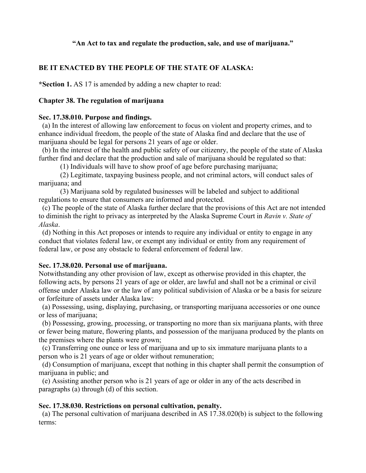# **"An Act to tax and regulate the production, sale, and use of marijuana."**

# **BE IT ENACTED BY THE PEOPLE OF THE STATE OF ALASKA:**

**\*Section 1.** AS 17 is amended by adding a new chapter to read:

### **Chapter 38. The regulation of marijuana**

### **Sec. 17.38.010. Purpose and findings.**

(a) In the interest of allowing law enforcement to focus on violent and property crimes, and to enhance individual freedom, the people of the state of Alaska find and declare that the use of marijuana should be legal for persons 21 years of age or older.

 (b) In the interest of the health and public safety of our citizenry, the people of the state of Alaska further find and declare that the production and sale of marijuana should be regulated so that:

(1) Individuals will have to show proof of age before purchasing marijuana;

(2) Legitimate, taxpaying business people, and not criminal actors, will conduct sales of marijuana; and

(3) Marijuana sold by regulated businesses will be labeled and subject to additional regulations to ensure that consumers are informed and protected.

 (c) The people of the state of Alaska further declare that the provisions of this Act are not intended to diminish the right to privacy as interpreted by the Alaska Supreme Court in *Ravin v. State of Alaska*.

 (d) Nothing in this Act proposes or intends to require any individual or entity to engage in any conduct that violates federal law, or exempt any individual or entity from any requirement of federal law, or pose any obstacle to federal enforcement of federal law.

### **Sec. 17.38.020. Personal use of marijuana.**

Notwithstanding any other provision of law, except as otherwise provided in this chapter, the following acts, by persons 21 years of age or older, are lawful and shall not be a criminal or civil offense under Alaska law or the law of any political subdivision of Alaska or be a basis for seizure or forfeiture of assets under Alaska law:

 (a) Possessing, using, displaying, purchasing, or transporting marijuana accessories or one ounce or less of marijuana;

 (b) Possessing, growing, processing, or transporting no more than six marijuana plants, with three or fewer being mature, flowering plants, and possession of the marijuana produced by the plants on the premises where the plants were grown;

 (c) Transferring one ounce or less of marijuana and up to six immature marijuana plants to a person who is 21 years of age or older without remuneration;

 (d) Consumption of marijuana, except that nothing in this chapter shall permit the consumption of marijuana in public; and

 (e) Assisting another person who is 21 years of age or older in any of the acts described in paragraphs (a) through (d) of this section.

### **Sec. 17.38.030. Restrictions on personal cultivation, penalty.**

 (a) The personal cultivation of marijuana described in AS 17.38.020(b) is subject to the following terms: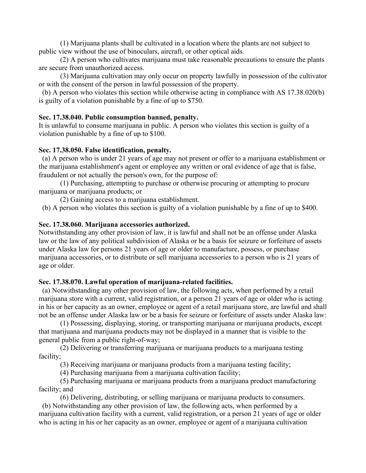(1) Marijuana plants shall be cultivated in a location where the plants are not subject to public view without the use of binoculars, aircraft, or other optical aids.

(2) A person who cultivates marijuana must take reasonable precautions to ensure the plants are secure from unauthorized access.

(3) Marijuana cultivation may only occur on property lawfully in possession of the cultivator or with the consent of the person in lawful possession of the property.

 (b) A person who violates this section while otherwise acting in compliance with AS 17.38.020(b) is guilty of a violation punishable by a fine of up to \$750.

### **Sec. 17.38.040. Public consumption banned, penalty.**

It is unlawful to consume marijuana in public. A person who violates this section is guilty of a violation punishable by a fine of up to \$100.

# **Sec. 17.38.050. False identification, penalty.**

 (a) A person who is under 21 years of age may not present or offer to a marijuana establishment or the marijuana establishment's agent or employee any written or oral evidence of age that is false, fraudulent or not actually the person's own, for the purpose of:

(1) Purchasing, attempting to purchase or otherwise procuring or attempting to procure marijuana or marijuana products; or

(2) Gaining access to a marijuana establishment.

(b) A person who violates this section is guilty of a violation punishable by a fine of up to \$400.

# **Sec. 17.38.060. Marijuana accessories authorized.**

Notwithstanding any other provision of law, it is lawful and shall not be an offense under Alaska law or the law of any political subdivision of Alaska or be a basis for seizure or forfeiture of assets under Alaska law for persons 21 years of age or older to manufacture, possess, or purchase marijuana accessories, or to distribute or sell marijuana accessories to a person who is 21 years of age or older.

# **Sec. 17.38.070. Lawful operation of marijuana-related facilities.**

 (a) Notwithstanding any other provision of law, the following acts, when performed by a retail marijuana store with a current, valid registration, or a person 21 years of age or older who is acting in his or her capacity as an owner, employee or agent of a retail marijuana store, are lawful and shall not be an offense under Alaska law or be a basis for seizure or forfeiture of assets under Alaska law:

(1) Possessing, displaying, storing, or transporting marijuana or marijuana products, except that marijuana and marijuana products may not be displayed in a manner that is visible to the general public from a public right-of-way;

(2) Delivering or transferring marijuana or marijuana products to a marijuana testing facility;

(3) Receiving marijuana or marijuana products from a marijuana testing facility;

(4) Purchasing marijuana from a marijuana cultivation facility;

(5) Purchasing marijuana or marijuana products from a marijuana product manufacturing facility; and

(6) Delivering, distributing, or selling marijuana or marijuana products to consumers.

 (b) Notwithstanding any other provision of law, the following acts, when performed by a marijuana cultivation facility with a current, valid registration, or a person 21 years of age or older who is acting in his or her capacity as an owner, employee or agent of a marijuana cultivation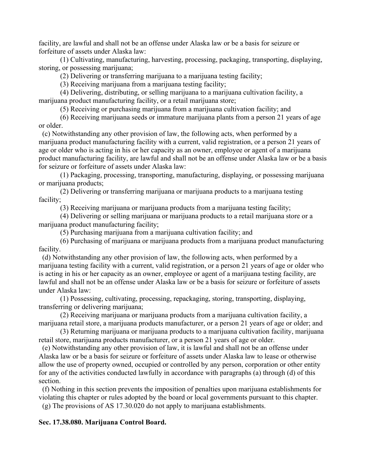facility, are lawful and shall not be an offense under Alaska law or be a basis for seizure or forfeiture of assets under Alaska law:

(1) Cultivating, manufacturing, harvesting, processing, packaging, transporting, displaying, storing, or possessing marijuana;

(2) Delivering or transferring marijuana to a marijuana testing facility;

(3) Receiving marijuana from a marijuana testing facility;

(4) Delivering, distributing, or selling marijuana to a marijuana cultivation facility, a marijuana product manufacturing facility, or a retail marijuana store;

(5) Receiving or purchasing marijuana from a marijuana cultivation facility; and

(6) Receiving marijuana seeds or immature marijuana plants from a person 21 years of age or older.

 (c) Notwithstanding any other provision of law, the following acts, when performed by a marijuana product manufacturing facility with a current, valid registration, or a person 21 years of age or older who is acting in his or her capacity as an owner, employee or agent of a marijuana product manufacturing facility, are lawful and shall not be an offense under Alaska law or be a basis for seizure or forfeiture of assets under Alaska law:

(1) Packaging, processing, transporting, manufacturing, displaying, or possessing marijuana or marijuana products;

(2) Delivering or transferring marijuana or marijuana products to a marijuana testing facility;

(3) Receiving marijuana or marijuana products from a marijuana testing facility;

(4) Delivering or selling marijuana or marijuana products to a retail marijuana store or a marijuana product manufacturing facility;

(5) Purchasing marijuana from a marijuana cultivation facility; and

(6) Purchasing of marijuana or marijuana products from a marijuana product manufacturing facility.

 (d) Notwithstanding any other provision of law, the following acts, when performed by a marijuana testing facility with a current, valid registration, or a person 21 years of age or older who is acting in his or her capacity as an owner, employee or agent of a marijuana testing facility, are lawful and shall not be an offense under Alaska law or be a basis for seizure or forfeiture of assets under Alaska law:

(1) Possessing, cultivating, processing, repackaging, storing, transporting, displaying, transferring or delivering marijuana;

(2) Receiving marijuana or marijuana products from a marijuana cultivation facility, a marijuana retail store, a marijuana products manufacturer, or a person 21 years of age or older; and

(3) Returning marijuana or marijuana products to a marijuana cultivation facility, marijuana retail store, marijuana products manufacturer, or a person 21 years of age or older.

 (e) Notwithstanding any other provision of law, it is lawful and shall not be an offense under Alaska law or be a basis for seizure or forfeiture of assets under Alaska law to lease or otherwise allow the use of property owned, occupied or controlled by any person, corporation or other entity for any of the activities conducted lawfully in accordance with paragraphs (a) through (d) of this section.

 (f) Nothing in this section prevents the imposition of penalties upon marijuana establishments for violating this chapter or rules adopted by the board or local governments pursuant to this chapter.

(g) The provisions of AS 17.30.020 do not apply to marijuana establishments.

# **Sec. 17.38.080. Marijuana Control Board.**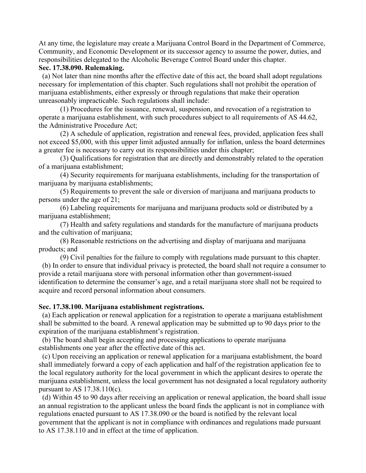At any time, the legislature may create a Marijuana Control Board in the Department of Commerce, Community, and Economic Development or its successor agency to assume the power, duties, and responsibilities delegated to the Alcoholic Beverage Control Board under this chapter.

# **Sec. 17.38.090. Rulemaking.**

 (a) Not later than nine months after the effective date of this act, the board shall adopt regulations necessary for implementation of this chapter. Such regulations shall not prohibit the operation of marijuana establishments, either expressly or through regulations that make their operation unreasonably impracticable. Such regulations shall include:

(1) Procedures for the issuance, renewal, suspension, and revocation of a registration to operate a marijuana establishment, with such procedures subject to all requirements of AS 44.62, the Administrative Procedure Act;

(2) A schedule of application, registration and renewal fees, provided, application fees shall not exceed \$5,000, with this upper limit adjusted annually for inflation, unless the board determines a greater fee is necessary to carry out its responsibilities under this chapter;

(3) Qualifications for registration that are directly and demonstrably related to the operation of a marijuana establishment;

(4) Security requirements for marijuana establishments, including for the transportation of marijuana by marijuana establishments;

(5) Requirements to prevent the sale or diversion of marijuana and marijuana products to persons under the age of 21;

(6) Labeling requirements for marijuana and marijuana products sold or distributed by a marijuana establishment;

(7) Health and safety regulations and standards for the manufacture of marijuana products and the cultivation of marijuana;

(8) Reasonable restrictions on the advertising and display of marijuana and marijuana products; and

(9) Civil penalties for the failure to comply with regulations made pursuant to this chapter. (b) In order to ensure that individual privacy is protected, the board shall not require a consumer to provide a retail marijuana store with personal information other than government-issued identification to determine the consumer's age, and a retail marijuana store shall not be required to acquire and record personal information about consumers.

# **Sec. 17.38.100. Marijuana establishment registrations.**

 (a) Each application or renewal application for a registration to operate a marijuana establishment shall be submitted to the board. A renewal application may be submitted up to 90 days prior to the expiration of the marijuana establishment's registration.

 (b) The board shall begin accepting and processing applications to operate marijuana establishments one year after the effective date of this act.

 (c) Upon receiving an application or renewal application for a marijuana establishment, the board shall immediately forward a copy of each application and half of the registration application fee to the local regulatory authority for the local government in which the applicant desires to operate the marijuana establishment, unless the local government has not designated a local regulatory authority pursuant to AS  $17.38.110(c)$ .

 (d) Within 45 to 90 days after receiving an application or renewal application, the board shall issue an annual registration to the applicant unless the board finds the applicant is not in compliance with regulations enacted pursuant to AS 17.38.090 or the board is notified by the relevant local government that the applicant is not in compliance with ordinances and regulations made pursuant to AS 17.38.110 and in effect at the time of application.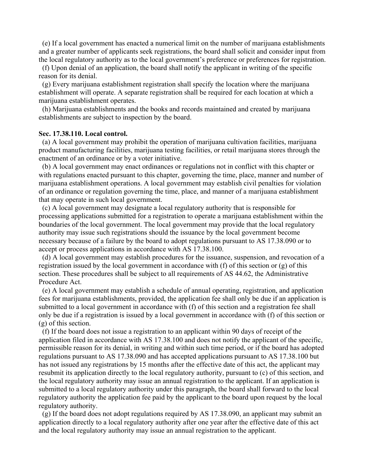(e) If a local government has enacted a numerical limit on the number of marijuana establishments and a greater number of applicants seek registrations, the board shall solicit and consider input from the local regulatory authority as to the local government's preference or preferences for registration.

 (f) Upon denial of an application, the board shall notify the applicant in writing of the specific reason for its denial.

 (g) Every marijuana establishment registration shall specify the location where the marijuana establishment will operate. A separate registration shall be required for each location at which a marijuana establishment operates.

 (h) Marijuana establishments and the books and records maintained and created by marijuana establishments are subject to inspection by the board.

#### **Sec. 17.38.110. Local control.**

 (a) A local government may prohibit the operation of marijuana cultivation facilities, marijuana product manufacturing facilities, marijuana testing facilities, or retail marijuana stores through the enactment of an ordinance or by a voter initiative.

 (b) A local government may enact ordinances or regulations not in conflict with this chapter or with regulations enacted pursuant to this chapter, governing the time, place, manner and number of marijuana establishment operations. A local government may establish civil penalties for violation of an ordinance or regulation governing the time, place, and manner of a marijuana establishment that may operate in such local government.

 (c) A local government may designate a local regulatory authority that is responsible for processing applications submitted for a registration to operate a marijuana establishment within the boundaries of the local government. The local government may provide that the local regulatory authority may issue such registrations should the issuance by the local government become necessary because of a failure by the board to adopt regulations pursuant to AS 17.38.090 or to accept or process applications in accordance with AS 17.38.100.

 (d) A local government may establish procedures for the issuance, suspension, and revocation of a registration issued by the local government in accordance with (f) of this section or (g) of this section. These procedures shall be subject to all requirements of AS 44.62, the Administrative Procedure Act.

 (e) A local government may establish a schedule of annual operating, registration, and application fees for marijuana establishments, provided, the application fee shall only be due if an application is submitted to a local government in accordance with (f) of this section and a registration fee shall only be due if a registration is issued by a local government in accordance with (f) of this section or (g) of this section.

 (f) If the board does not issue a registration to an applicant within 90 days of receipt of the application filed in accordance with AS 17.38.100 and does not notify the applicant of the specific, permissible reason for its denial, in writing and within such time period, or if the board has adopted regulations pursuant to AS 17.38.090 and has accepted applications pursuant to AS 17.38.100 but has not issued any registrations by 15 months after the effective date of this act, the applicant may resubmit its application directly to the local regulatory authority, pursuant to (c) of this section, and the local regulatory authority may issue an annual registration to the applicant. If an application is submitted to a local regulatory authority under this paragraph, the board shall forward to the local regulatory authority the application fee paid by the applicant to the board upon request by the local regulatory authority.

 (g) If the board does not adopt regulations required by AS 17.38.090, an applicant may submit an application directly to a local regulatory authority after one year after the effective date of this act and the local regulatory authority may issue an annual registration to the applicant.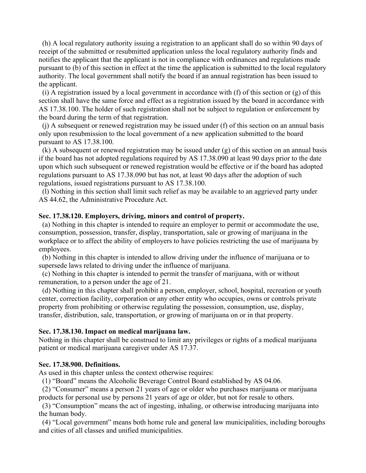(h) A local regulatory authority issuing a registration to an applicant shall do so within 90 days of receipt of the submitted or resubmitted application unless the local regulatory authority finds and notifies the applicant that the applicant is not in compliance with ordinances and regulations made pursuant to (b) of this section in effect at the time the application is submitted to the local regulatory authority. The local government shall notify the board if an annual registration has been issued to the applicant.

 (i) A registration issued by a local government in accordance with (f) of this section or (g) of this section shall have the same force and effect as a registration issued by the board in accordance with AS 17.38.100. The holder of such registration shall not be subject to regulation or enforcement by the board during the term of that registration.

 (j) A subsequent or renewed registration may be issued under (f) of this section on an annual basis only upon resubmission to the local government of a new application submitted to the board pursuant to AS 17.38.100.

 (k) A subsequent or renewed registration may be issued under (g) of this section on an annual basis if the board has not adopted regulations required by AS 17.38.090 at least 90 days prior to the date upon which such subsequent or renewed registration would be effective or if the board has adopted regulations pursuant to AS 17.38.090 but has not, at least 90 days after the adoption of such regulations, issued registrations pursuant to AS 17.38.100.

 (l) Nothing in this section shall limit such relief as may be available to an aggrieved party under AS 44.62, the Administrative Procedure Act.

### **Sec. 17.38.120. Employers, driving, minors and control of property.**

 (a) Nothing in this chapter is intended to require an employer to permit or accommodate the use, consumption, possession, transfer, display, transportation, sale or growing of marijuana in the workplace or to affect the ability of employers to have policies restricting the use of marijuana by employees.

 (b) Nothing in this chapter is intended to allow driving under the influence of marijuana or to supersede laws related to driving under the influence of marijuana.

 (c) Nothing in this chapter is intended to permit the transfer of marijuana, with or without remuneration, to a person under the age of 21.

 (d) Nothing in this chapter shall prohibit a person, employer, school, hospital, recreation or youth center, correction facility, corporation or any other entity who occupies, owns or controls private property from prohibiting or otherwise regulating the possession, consumption, use, display, transfer, distribution, sale, transportation, or growing of marijuana on or in that property.

#### **Sec. 17.38.130. Impact on medical marijuana law.**

Nothing in this chapter shall be construed to limit any privileges or rights of a medical marijuana patient or medical marijuana caregiver under AS 17.37.

### **Sec. 17.38.900. Definitions.**

As used in this chapter unless the context otherwise requires:

(1) "Board" means the Alcoholic Beverage Control Board established by AS 04.06.

 (2) "Consumer" means a person 21 years of age or older who purchases marijuana or marijuana products for personal use by persons 21 years of age or older, but not for resale to others.

 (3) "Consumption" means the act of ingesting, inhaling, or otherwise introducing marijuana into the human body.

 (4) "Local government" means both home rule and general law municipalities, including boroughs and cities of all classes and unified municipalities.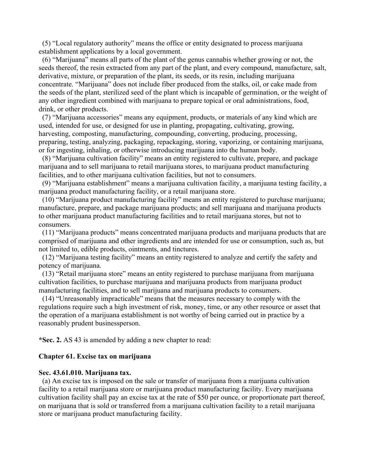(5) "Local regulatory authority" means the office or entity designated to process marijuana establishment applications by a local government.

 (6) "Marijuana" means all parts of the plant of the genus cannabis whether growing or not, the seeds thereof, the resin extracted from any part of the plant, and every compound, manufacture, salt, derivative, mixture, or preparation of the plant, its seeds, or its resin, including marijuana concentrate. "Marijuana" does not include fiber produced from the stalks, oil, or cake made from the seeds of the plant, sterilized seed of the plant which is incapable of germination, or the weight of any other ingredient combined with marijuana to prepare topical or oral administrations, food, drink, or other products.

 (7) "Marijuana accessories" means any equipment, products, or materials of any kind which are used, intended for use, or designed for use in planting, propagating, cultivating, growing, harvesting, composting, manufacturing, compounding, converting, producing, processing, preparing, testing, analyzing, packaging, repackaging, storing, vaporizing, or containing marijuana, or for ingesting, inhaling, or otherwise introducing marijuana into the human body.

 (8) "Marijuana cultivation facility" means an entity registered to cultivate, prepare, and package marijuana and to sell marijuana to retail marijuana stores, to marijuana product manufacturing facilities, and to other marijuana cultivation facilities, but not to consumers.

 (9) "Marijuana establishment" means a marijuana cultivation facility, a marijuana testing facility, a marijuana product manufacturing facility, or a retail marijuana store.

 (10) "Marijuana product manufacturing facility" means an entity registered to purchase marijuana; manufacture, prepare, and package marijuana products; and sell marijuana and marijuana products to other marijuana product manufacturing facilities and to retail marijuana stores, but not to consumers.

 (11) "Marijuana products" means concentrated marijuana products and marijuana products that are comprised of marijuana and other ingredients and are intended for use or consumption, such as, but not limited to, edible products, ointments, and tinctures.

 (12) "Marijuana testing facility" means an entity registered to analyze and certify the safety and potency of marijuana.

 (13) "Retail marijuana store" means an entity registered to purchase marijuana from marijuana cultivation facilities, to purchase marijuana and marijuana products from marijuana product manufacturing facilities, and to sell marijuana and marijuana products to consumers.

 (14) "Unreasonably impracticable" means that the measures necessary to comply with the regulations require such a high investment of risk, money, time, or any other resource or asset that the operation of a marijuana establishment is not worthy of being carried out in practice by a reasonably prudent businessperson.

**\*Sec. 2.** AS 43 is amended by adding a new chapter to read:

### **Chapter 61. Excise tax on marijuana**

#### **Sec. 43.61.010. Marijuana tax.**

 (a) An excise tax is imposed on the sale or transfer of marijuana from a marijuana cultivation facility to a retail marijuana store or marijuana product manufacturing facility. Every marijuana cultivation facility shall pay an excise tax at the rate of \$50 per ounce, or proportionate part thereof, on marijuana that is sold or transferred from a marijuana cultivation facility to a retail marijuana store or marijuana product manufacturing facility.